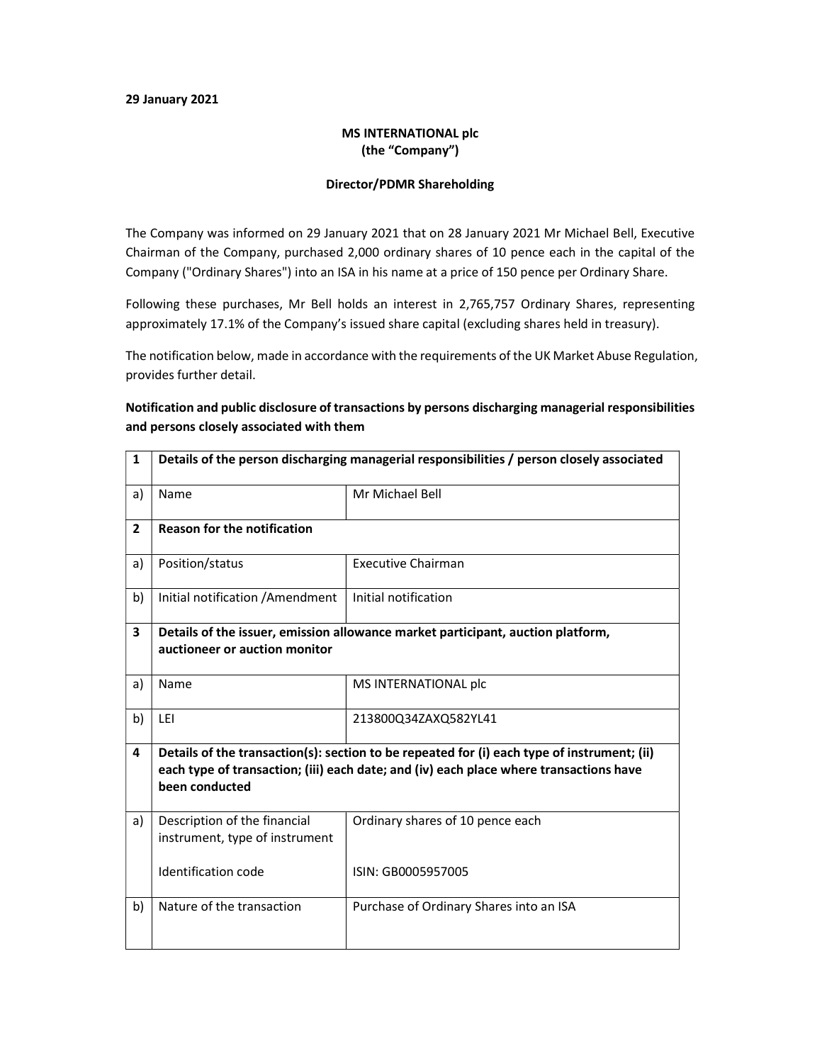### 29 January 2021

### MS INTERNATIONAL plc (the "Company")

#### Director/PDMR Shareholding

The Company was informed on 29 January 2021 that on 28 January 2021 Mr Michael Bell, Executive Chairman of the Company, purchased 2,000 ordinary shares of 10 pence each in the capital of the Company ("Ordinary Shares") into an ISA in his name at a price of 150 pence per Ordinary Share.

Following these purchases, Mr Bell holds an interest in 2,765,757 Ordinary Shares, representing approximately 17.1% of the Company's issued share capital (excluding shares held in treasury).

The notification below, made in accordance with the requirements of the UK Market Abuse Regulation, provides further detail.

## Notification and public disclosure of transactions by persons discharging managerial responsibilities and persons closely associated with them

| $\mathbf{1}$   | Details of the person discharging managerial responsibilities / person closely associated                                                                                                               |                                         |  |
|----------------|---------------------------------------------------------------------------------------------------------------------------------------------------------------------------------------------------------|-----------------------------------------|--|
| a)             | Name                                                                                                                                                                                                    | Mr Michael Bell                         |  |
| $\overline{2}$ | <b>Reason for the notification</b>                                                                                                                                                                      |                                         |  |
| a)             | Position/status                                                                                                                                                                                         | <b>Executive Chairman</b>               |  |
| b)             | Initial notification / Amendment                                                                                                                                                                        | Initial notification                    |  |
| 3              | Details of the issuer, emission allowance market participant, auction platform,                                                                                                                         |                                         |  |
|                | auctioneer or auction monitor                                                                                                                                                                           |                                         |  |
| a)             | Name                                                                                                                                                                                                    | MS INTERNATIONAL plc                    |  |
| b)             | LEI                                                                                                                                                                                                     | 213800Q34ZAXQ582YL41                    |  |
| 4              | Details of the transaction(s): section to be repeated for (i) each type of instrument; (ii)<br>each type of transaction; (iii) each date; and (iv) each place where transactions have<br>been conducted |                                         |  |
| a)             | Description of the financial<br>instrument, type of instrument                                                                                                                                          | Ordinary shares of 10 pence each        |  |
|                | Identification code                                                                                                                                                                                     | ISIN: GB0005957005                      |  |
| b)             | Nature of the transaction                                                                                                                                                                               | Purchase of Ordinary Shares into an ISA |  |